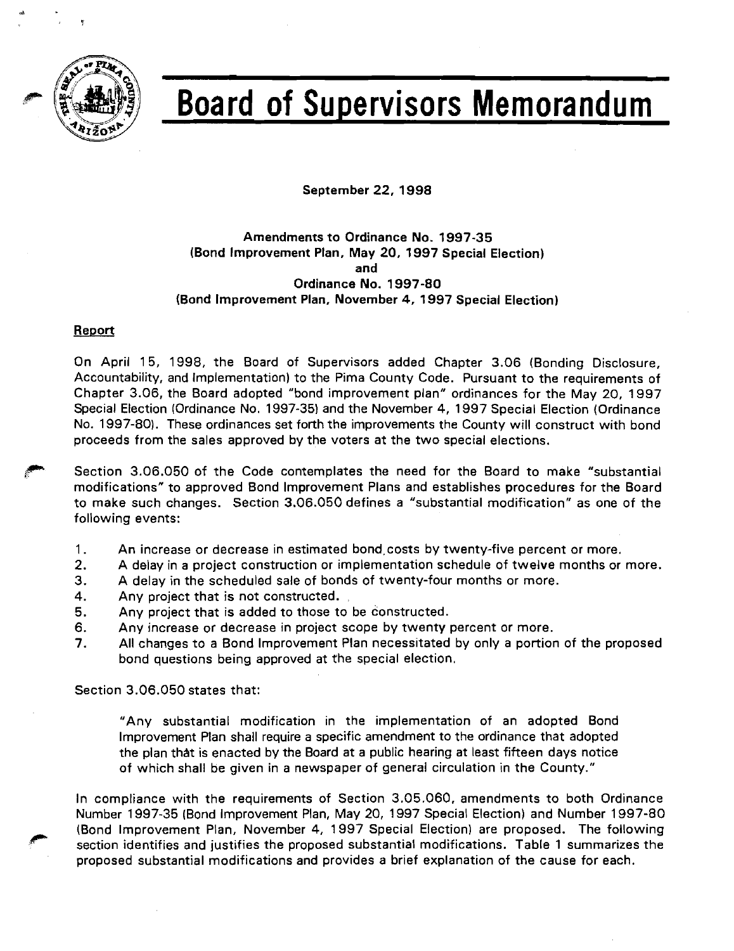

# **Board of Supervisors Memorandum**

September 22, 1998

# Amendments to Ordinance No. 1997-35 (Bond lmprovement Plan, May 20, 1997 Special Election) and Ordinance No. 1997-80 (Bond Improvement Plan, November 4, 1997 Special Election)

## Report

On April 15, 1998, the Board of Supervisors added Chapter 3.06 (Bonding Disclosure, Accountability, and Implementation) to the Pima County Code. Pursuant to the requirements of Chapter 3.06, the Board adopted "bond improvement plan" ordinances for the May 20, 1997 Special Election (Ordinance No. 1997-35) and the November 4, 1997 Special Election (Ordinance No. 1997-80). These ordinances set forth the improvements the County will construct with bond proceeds from the sales approved by the voters at the two special elections.

Section 3.06.050 of the Code contemplates the need for the Board to make "substantial modifications" to approved Bond Improvement Plans and establishes procedures for the Board to make such changes. Section 3.06.050 defines a "substantial modification" as one of the following events:

- 1. An increase or decrease in estimated bond,costs by twenty-five percent or more.
- 2. A delay in a project construction or implementation schedule of twelve months or more.
- 3. A delay in the scheduled sale of bonds of twenty-four months or more.
- 4. Any project that is not constructed.
- 5. Any project that is added to those to be constructed.
- 6. Any increase or decrease in project scope by twenty percent or more.
- 7. All changes to a Bond lmprovement Plan necessitated by only a portion of the proposed bond questions being approved at rhe special election.

Section 3.06.050 states that:

"Any substantial modification in the implementation of an adopted Bond lmprovement Plan shall require a specific amendment to the ordinance that adopted the plan thdt is enacted by the Board at a public hearing at least fifteen days notice of which shall be given in a newspaper of general circulation in the County."

In compliance with the requirements of Section 3.05.060, amendments to both Ordinance Number 1997-35 (Bond lmprovement Plan, May 20, 1997 Special Election) and Number 1997-80 (Bond Improvement Plan, November 4, 1997 Special Election) are proposed. The following section identifies and justifies the proposed substantial modifications. Table 1 summarizes the proposed substantial modifications and provides a brief explanation of the cause for each.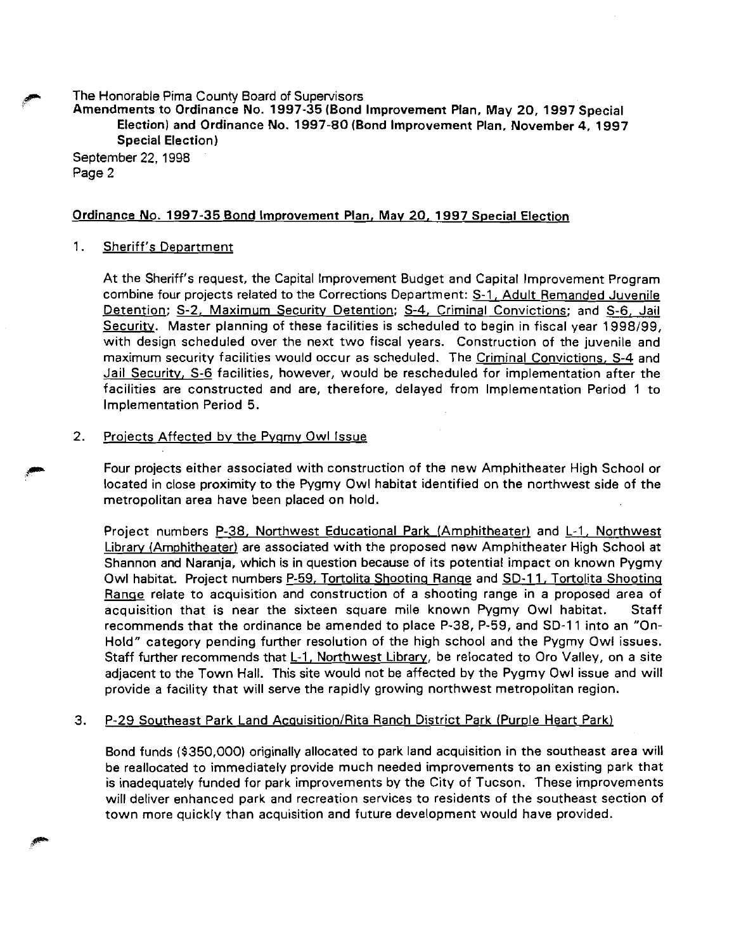**p** The Honorable Pima County Board of Supewisors

Amendments to Ordinance No. **1997-35** (Bond lmprovement Plan, May 20, **1997** Special Election) and Ordinance No. **1997-80** (Bond lmprovement Plan, November **4, 1997**  Special Election)

September 22, 1998 Page 2

## Ordinance No. **1997-35** Bond lmprovement Plan, May **20. 1997** Special Election

## 1. Sheriff's Department

At the Sheriff's request, the Capital lmprovement Budget and Capital lmprovement Program combine four projects related to the Corrections Department: S-1, Adult Remanded Juvenile Detention; S-2, Maximum Security Detention; S-4, Criminal Convictions; and S-6, Jail Securitv. Master planning of these facilities is scheduled to begin in fiscal year 1998199, with design scheduled over the next two fiscal years. Construction of the juvenile and maximum security facilities would occur as scheduled. The Criminal Convictions, S-4 and Jail Security, S-6 facilities, however, would be rescheduled for implementation after the facilities are constructed and are, therefore, delayed from Implementation Period 1 to lmplementation Period 5.

## 2. Projects Affected by the Pygmy Owl Issue

Four projects either associated with construction of the new Amphitheater High School or located in close proximity to the Pygmy Owl habitat identified on the northwest side of the metropolitan area have been placed on hold.

Project numbers P-38, Northwest Educational Park (Amphitheater) and L-1, Northwest Library (Amphitheater) are associated with the proposed new Amphitheater High School at Shannon and Naranja, which is in question because of its potential impact on known Pygmy Owl habitat. Project numbers P-59, Tortolita Shooting Range and SD-11, Tortolita Shooting Range relate to acquisition and construction of a shooting range in a proposed area of acquisition that is near the sixteen square mile known Pygmy Owl habitat. Staff recommends that the ordinance be amended to place P-38, P-59, and SD-11 into an "On-Hold" category pending further resolution of the high school and the Pygmy Owl issues. Staff further recommends that L-1, Northwest Library, be relocated to Oro Valley, on a site adjacent to the Town Hall. This site would not be affected by the Pygmy Owl issue and will provide a facility that will serve the rapidly growing northwest metropolitan region.

## 3. P-29 Southeast Park Land Acquisition/Rita Ranch District Park (Purple Heart Park)

Bond funds (\$350,000) originally allocated to park land acquisition in the southeast area will be reallocated to immediately provide much needed improvements to an existing park that is inadequately funded for park improvements by the City of Tucson. These improvements will deliver enhanced park and recreation services to residents of the southeast section of town more quickly than acquisition and future development would have provided.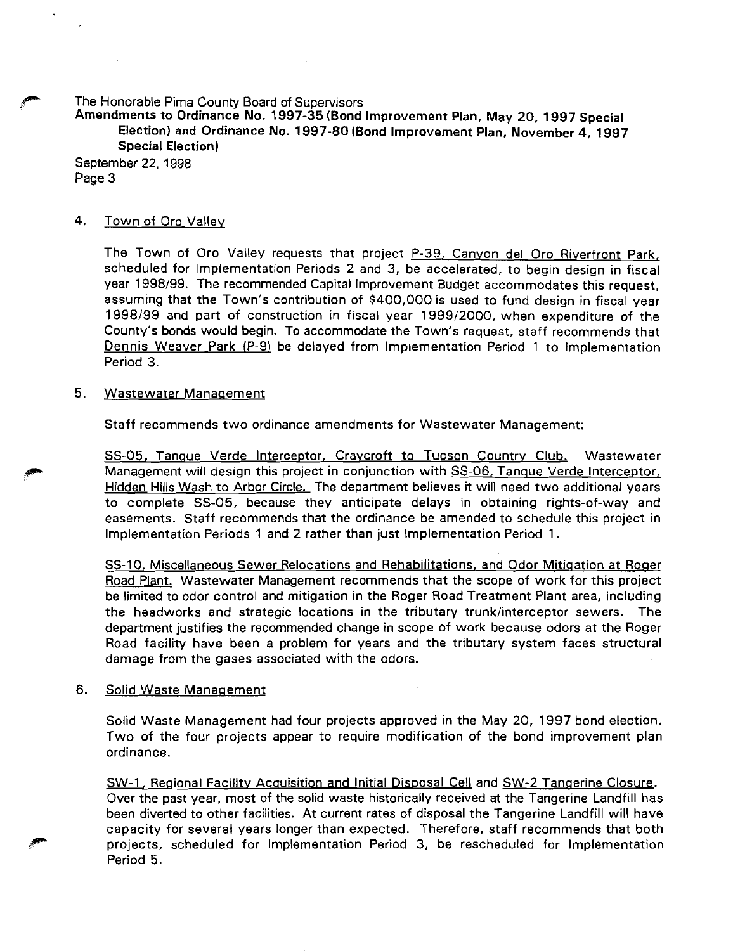**,8"** The Honorable Pima County Board of Supervisors

Amendments to Ordinance No. 1997-35 (Bond Improvement Plan, May **20,** 1997 Special Election) and Ordinance No. 1997-80 (Bond Improvement Plan, November **4,** 1997 Special Election)

September 22, 1998 Page 3

## 4. Town of Oro Valley

The Town of Oro Valley requests that project P-39, Canyon del Oro Riverfront Park, scheduled for lmplementation Periods 2 and 3, be accelerated, to begin design in fiscal year 1998199. The recommended Capital Improvement Budget accommodates this request, assuming that the Town's contribution of \$400,000 is used to fund design in fiscal year 1998199 and part of construction in fiscal year 199912000, when expenditure of the County's bonds would begin. To accommodate the Town's request, staff recommends that Dennis Weaver Park (P-9) be delayed from lmplementation Period 1 to lmplementation Period 3.

#### 5. Wastewater Manaqement

Staff recommends two ordinance amendments for Wastewater Management:

SS-05. Tanque Verde Interceptor, Craycroft to Tucson Country Club. Wastewater Management will design this project in conjunction with SS-06, Tanque Verde Interceptor, Hidden Hills Wash to Arbor Circle. The department believes it will need two additional years to complete SS-05, because they anticipate delays in obtaining rights-of-way and easements. Staff recommends that the ordinance be amended to schedule this project in lmplementation Periods 1 and 2 rather than just lmplementation Period 1.

SS-10, Miscellaneous Sewer Relocations and Rehabilitations, and Odor Mitigation at Roger Road Plant. Wastewater Management recommends that the scope of work for this project be limited to odor control and mitigation in the Roger Road Treatment Plant area, including the headworks and strategic locations in the tributary trunk/interceptor sewers. The department justifies the recommended change in scope of work because odors at the Roger Road facility have been a problem for years and the tributary system faces structural damage from the gases associated with the odors.

#### 6. Solid Waste Management

Solid Waste Management had four projects approved in the May 20, 1997 bond election. Two of the four projects appear to require modification of the bond improvement plan ordinance.

SW-1, Reqional Facilitv Acquisition and Initial Disposal Cell and SW-2 Tanqerine Closure. Over the past year, most of the solid waste historically received at the Tangerine Landfill has been diverted to other facilities. At current rates of disposal the Tangerine Landfill will have capacity for several years longer than expected. Therefore, staff recommends that both projects, scheduled for lmplementation Period 3, be rescheduled for lmplementation Period 5.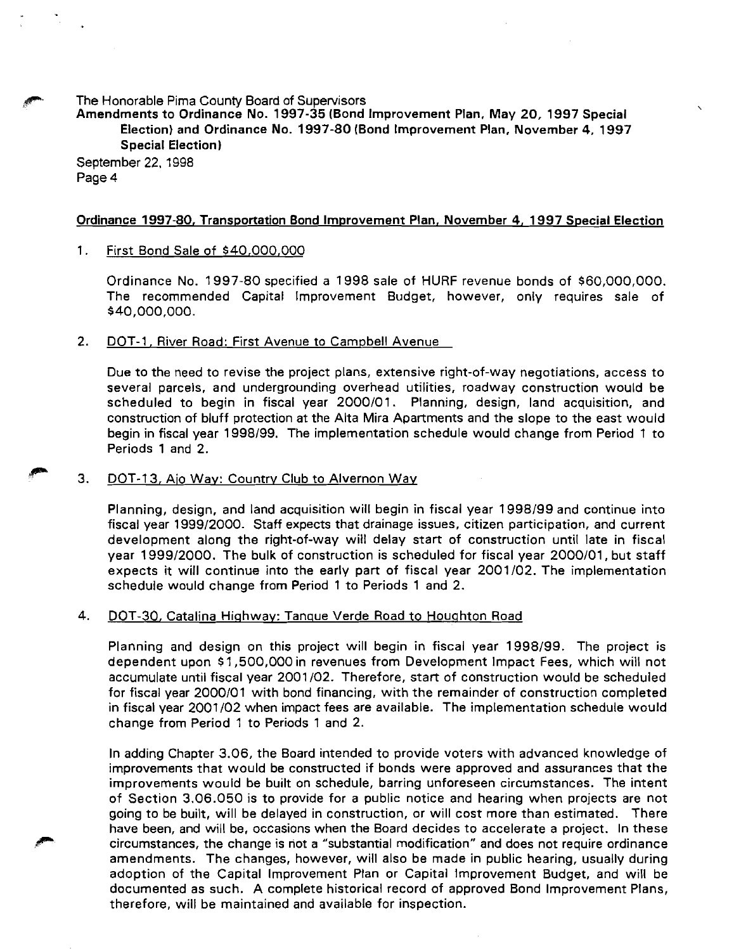The Honorable Pima County Board of Supervisors

Amendments to Ordinance No. 1997-35 (Bond lmprovement Plan, May 20, 1997 Special Election) and Ordinance No. 1997-80 (Bond lmprovement Plan, November **4,** 1997 Special Election)

September 22, 1998 Page **4** 

## Ordinance 1997-80, Transportation Bond lmprovement Plan. November **4,** 1997 Special Election

## 1. First Bond Sale of \$40.000,000

Ordinance No. 1997-80 specified a 1998 sale of HURF revenue bonds of \$60,000,000. The recommended Capital lmprovement Budget, however, only requires sale of \$40,000,000.

## 2. DOT-1, River Road: First Avenue to Campbell Avenue

Due to the need to revise the project plans, extensive right-of-way negotiations, access to several parcels, and undergrounding overhead utilities, roadway construction would be scheduled to begin in fiscal year 2000/01. Planning, design, land acquisition, and construction of bluff protection at the Alta Mira Apartments and the slope to the east would begin in fiscal year 1998/99. The implementation schedule would change from Period 1 to Periods 1 and 2.

## 3. DOT-13, Aio Way: Country Club to Alvernon Way

Planning, design, and land acquisition will begin in fiscal year 1998/99 and continue into fiscal year 1999/2000. Staff expects that drainage issues, citizen participation, and current development along the right-of-way will delay start of construction until late in fiscal year 1999/2000. The bulk of construction is scheduled for fiscal year 2000/01, but staff expects it will continue into the early part of fiscal year 2001/02. The implementation schedule would change from Period 1 to Periods 1 and 2.

#### 4. DOT-30. Catalina Hiqhwav: Tanque Verde Road to Houqhton Road

Planning and design on this project will begin in fiscal year 1998/99. The project is dependent upon \$1,500,000 in revenues from Development Impact Fees, which will not accumulate until fiscal year 2001 102. Therefore, start of construction would be scheduled for fiscal year 2000/01 with bond financing, with the remainder of construction completed in fiscal year 2001102 when impact fees are available. The implementation schedule would change from Period 1 to Periods 1 and 2.

In adding Chapter 3.06, the Board intended to provide voters with advanced knowledge of improvements that would be constructed if bonds were approved and assurances that the improvements would be built on schedule, barring unforeseen circumstances. The intent of Section 3.06.050 is to provide for a public notice and hearing when projects are not going to be built, will be delayed in construction, or will cost more than estimated. There have been, and will be, occasions when the Board decides to accelerate a project. In these circumstances, the change is not a "substantial modification" and does not require ordinance amendments. The changes, however, will also be made in public hearing, usually during adoption of the Capital lmprovement Plan or Capital Improvement Budget, and will be documented as such. A complete historical record of approved Bond lmprovement Plans, therefore, will be maintained and available for inspection.